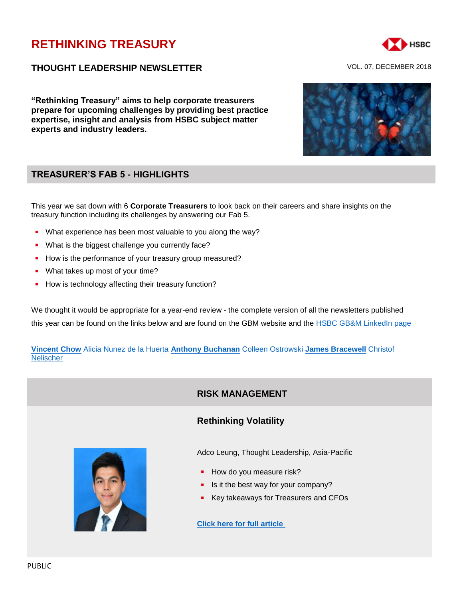# **[RETHINKING TREASURY](http://www.gbm.hsbc.com/the-new-future#rethinking-treasury)**

### **THOUGHT LEADERSHIP NEWSLETTER** VOL. 07, DECEMBER 2018

**"Rethinking Treasury" aims to help corporate treasurers prepare for upcoming challenges by providing best practice expertise, insight and analysis from HSBC subject matter experts and industry leaders.**

# **TREASURER'S FAB 5 - HIGHLIGHTS**

This year we sat down with 6 **Corporate Treasurers** to look back on their careers and share insights on the treasury function including its challenges by answering our Fab 5.

- What experience has been most valuable to you along the way?
- What is the biggest challenge you currently face?
- How is the performance of your treasury group measured?
- **What takes up most of your time?**
- How is technology affecting their treasury function?

We thought it would be appropriate for a year-end review - the complete version of all the newsletters published this year can be found on the links below and are found on the GBM website and the **HSBC GB&M LinkedIn page** 

**[Vincent Chow](https://www.gbm.hsbc.com/the-new-future/rethinking-treasury-newsletter-volume06)** [Alicia Nunez de la Huerta](https://www.gbm.hsbc.com/the-new-future/rethinking-treasury-newsletter-volume05) **[Anthony Buchanan](https://www.gbm.hsbc.com/the-new-future/rethinking-treasury-newsletter-volume04)** [Colleen Ostrowski](https://www.gbm.hsbc.com/the-new-future/rethinking-treasury-newsletter-volume03) **[James Bracewell](https://www.gbm.hsbc.com/the-new-future/rethinking-treasury-newsletter-volume02)** [Christof](https://www.gbm.hsbc.com/the-new-future/rethinking-treasury-newsletter-volume01)  **[Nelischer](https://www.gbm.hsbc.com/the-new-future/rethinking-treasury-newsletter-volume01)** 

# **RISK MANAGEMENT**

### **Rethinking Volatility**

Adco Leung, Thought Leadership, Asia-Pacific

- How do you measure risk?
- Is it the best way for your company?
- Key takeaways for Treasurers and CFOs

**[Click here for full article](https://www.gbm.hsbc.com/insights/markets/rethinking-volatility)**

PUBLIC



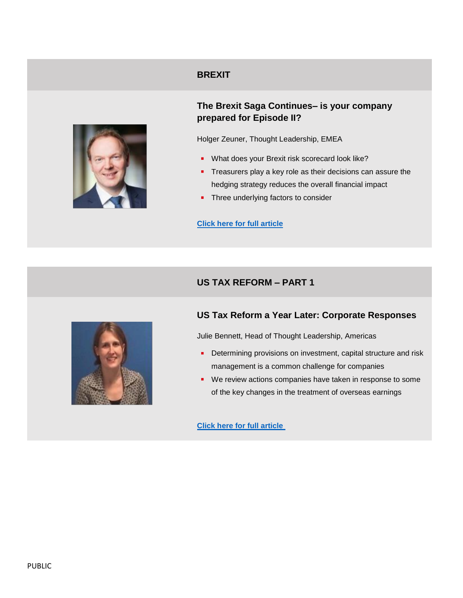### **BREXIT**



# **The Brexit Saga Continues– is your company prepared for Episode II?**

Holger Zeuner, Thought Leadership, EMEA

- **What does your Brexit risk scorecard look like?**
- **Treasurers play a key role as their decisions can assure the** hedging strategy reduces the overall financial impact
- **Three underlying factors to consider**

#### **[Click here for full article](https://www.gbm.hsbc.com/insights/markets/the-brexit-saga-continues)**

# **US TAX REFORM – PART 1**



# **US Tax Reform a Year Later: Corporate Responses**

Julie Bennett, Head of Thought Leadership, Americas

- **Determining provisions on investment, capital structure and risk** management is a common challenge for companies
- We review actions companies have taken in response to some of the key changes in the treatment of overseas earnings

**[Click here for full article](https://www.gbm.hsbc.com/insights/markets/us-tax-reform-a-year-later)**